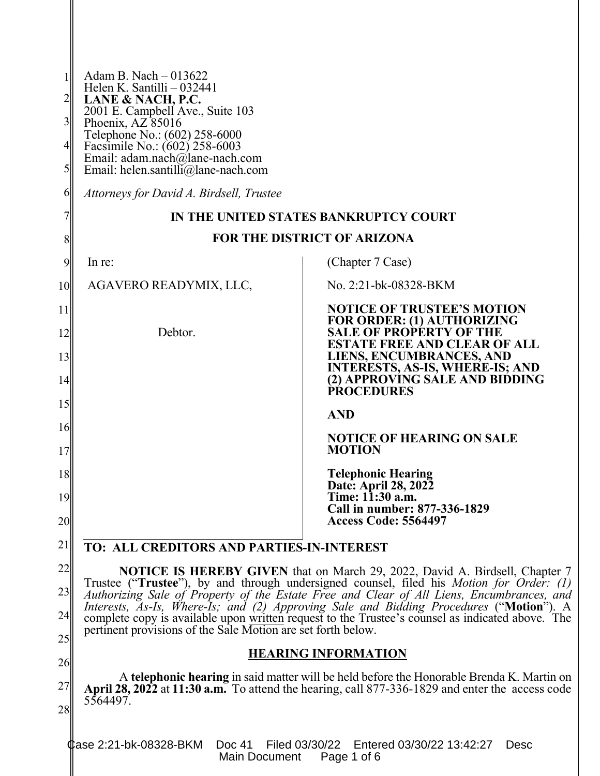| $\frac{2}{2}$<br>$3\vert$<br>$\frac{4}{3}$<br>$\mathfrak{H}$ | Adam B. Nach $-013622$<br>Helen K. Santilli $-032441$<br>LANE & NACH, P.C.<br>2001 E. Campbell Ave., Suite 103<br>Phoenix, AZ 85016<br>Telephone No.: (602) 258-6000<br>Facsimile No.: (602) 258-6003<br>Email: adam.nach@lane-nach.com<br>Email: helen.santilli@lane-nach.com |                                                                                                                                                                      |  |  |
|--------------------------------------------------------------|--------------------------------------------------------------------------------------------------------------------------------------------------------------------------------------------------------------------------------------------------------------------------------|----------------------------------------------------------------------------------------------------------------------------------------------------------------------|--|--|
| 6                                                            | Attorneys for David A. Birdsell, Trustee                                                                                                                                                                                                                                       |                                                                                                                                                                      |  |  |
| 7                                                            | IN THE UNITED STATES BANKRUPTCY COURT                                                                                                                                                                                                                                          |                                                                                                                                                                      |  |  |
| 8                                                            |                                                                                                                                                                                                                                                                                | <b>FOR THE DISTRICT OF ARIZONA</b>                                                                                                                                   |  |  |
| 9                                                            | In re:                                                                                                                                                                                                                                                                         | (Chapter 7 Case)                                                                                                                                                     |  |  |
| <b>10</b>                                                    | AGAVERO READYMIX, LLC,                                                                                                                                                                                                                                                         | No. 2:21-bk-08328-BKM                                                                                                                                                |  |  |
| 11<br>12<br>13                                               | Debtor.                                                                                                                                                                                                                                                                        | <b>NOTICE OF TRUSTEE'S MOTION</b><br>FOR ORDER: (1) AUTHORIZING<br><b>SALE OF PROPERTY OF THE</b><br><b>ESTATE FREE AND CLEAR OF ALL</b><br>LIENS, ENCUMBRANCES, AND |  |  |
| 14                                                           |                                                                                                                                                                                                                                                                                | <b>INTERESTS, AS-IS, WHERE-IS; AND</b><br>(2) APPROVING SÁLE AND BIDDING                                                                                             |  |  |
| 15                                                           |                                                                                                                                                                                                                                                                                | <b>PROCEDURES</b>                                                                                                                                                    |  |  |
| 16                                                           |                                                                                                                                                                                                                                                                                | <b>AND</b>                                                                                                                                                           |  |  |
| 17                                                           |                                                                                                                                                                                                                                                                                | <b>NOTICE OF HEARING ON SALE</b><br><b>MOTION</b>                                                                                                                    |  |  |
| 18                                                           |                                                                                                                                                                                                                                                                                | <b>Telephonic Hearing</b>                                                                                                                                            |  |  |
| 19                                                           |                                                                                                                                                                                                                                                                                | Date: April 28, 2022<br>Time: 11:30 a.m.<br>Call in number: 877-336-1829                                                                                             |  |  |
| 20                                                           |                                                                                                                                                                                                                                                                                | <b>Access Code: 5564497</b>                                                                                                                                          |  |  |
| 21                                                           | <b>TO: ALL CREDITORS AND PARTIES-IN-INTEREST</b>                                                                                                                                                                                                                               |                                                                                                                                                                      |  |  |
| 22                                                           | <b>NOTICE IS HEREBY GIVEN</b> that on March 29, 2022, David A. Birdsell, Chapter 7                                                                                                                                                                                             |                                                                                                                                                                      |  |  |
| 23                                                           | Trustee ("Trustee"), by and through undersigned counsel, filed his <i>Motion for Order: (1)</i><br>Authorizing Sale of Property of the Estate Free and Clear of All Liens, Encumbrances, and                                                                                   |                                                                                                                                                                      |  |  |
| 24                                                           | Interests, As-Is, Where-Is; and (2) Approving Sale and Bidding Procedures ("Motion"). A<br>complete copy is available upon written request to the Trustee's counsel as indicated above. The                                                                                    |                                                                                                                                                                      |  |  |
| 25                                                           | pertinent provisions of the Sale Motion are set forth below.                                                                                                                                                                                                                   |                                                                                                                                                                      |  |  |
| 26                                                           | <b>HEARING INFORMATION</b>                                                                                                                                                                                                                                                     |                                                                                                                                                                      |  |  |
| 27                                                           | A telephonic hearing in said matter will be held before the Honorable Brenda K. Martin on<br>April 28, 2022 at 11:30 $a.m.$ To attend the hearing, call 877-336-1829 and enter the access code                                                                                 |                                                                                                                                                                      |  |  |
| 28                                                           | 5564497.                                                                                                                                                                                                                                                                       |                                                                                                                                                                      |  |  |
|                                                              | <b>Фаѕе 2:21-bk-08328-ВКМ</b><br>Doc 41<br>Filed 03/30/22<br>Main Document                                                                                                                                                                                                     | Entered 03/30/22 13:42:27<br>Desc<br>Page 1 of 6                                                                                                                     |  |  |

II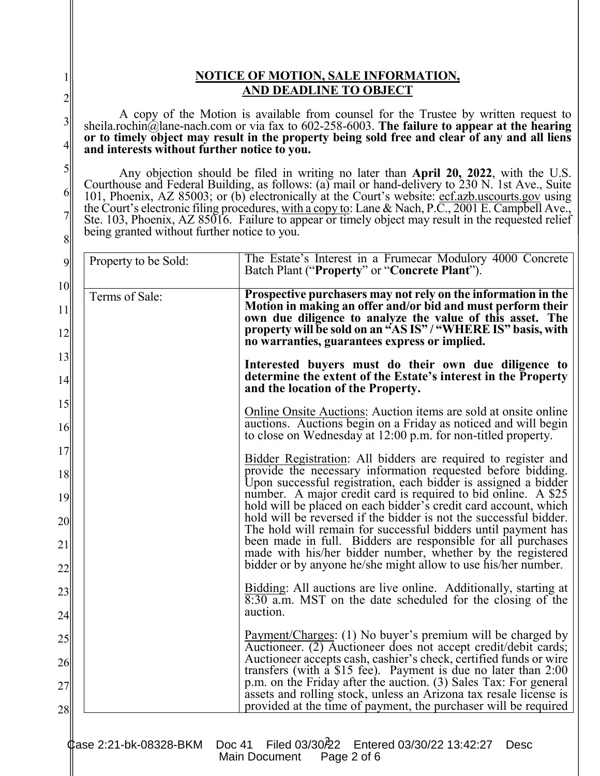## **NOTICE OF MOTION, SALE INFORMATION, AND DEADLINE TO OBJECT**

1

2

3

4

5

6

7

8

A copy of the Motion is available from counsel for the Trustee by written request to sheila.rochin@lane-nach.com or via fax to 602-258-6003. **The failure to appear at the hearing or to timely object may result in the property being sold free and clear of any and all liens and interests without further notice to you.** 

Any objection should be filed in writing no later than **April 20, 2022**, with the U.S. Courthouse and Federal Building, as follows: (a) mail or hand-delivery to 230 N. 1st Ave., Suite 101, Phoenix, AZ 85003; or (b) electronically at the Court's website: ecf.azb.uscourts.gov using the Court's electronic filing procedures, with a copy to: Lane & Nach, P.C., 2001 E. Campbell Ave., Ste. 103, Phoenix, AZ 85016. Failure to appear or timely object may result in the requested relief being granted without further notice to you.

| Property to be Sold: | The Estate's Interest in a Frumecar Modulory 4000 Concrete<br>Batch Plant ("Property" or "Concrete Plant").                                                                                                                                                                                                |
|----------------------|------------------------------------------------------------------------------------------------------------------------------------------------------------------------------------------------------------------------------------------------------------------------------------------------------------|
| Terms of Sale:       | Prospective purchasers may not rely on the information in the<br>Motion in making an offer and/or bid and must perform their<br>own due diligence to analyze the value of this asset. The<br>property will be sold on an "AS IS" / "WHERE IS" basis, with<br>no warranties, guarantees express or implied. |
|                      | Interested buyers must do their own due diligence to<br>determine the extent of the Estate's interest in the Property<br>and the location of the Property.                                                                                                                                                 |
|                      | <u>Online Onsite Auctions</u> : Auction items are sold at onsite online<br>auctions. Auctions begin on a Friday as noticed and will begin<br>to close on Wednesday at 12:00 p.m. for non-titled property.                                                                                                  |
|                      | <b>Bidder Registration:</b> All bidders are required to register and<br>provide the necessary information requested before bidding.<br>Upon successful registration, each bidder is assigned a bidder                                                                                                      |
|                      | number. A major credit card is required to bid online. A \$25<br>hold will be placed on each bidder's credit card account, which<br>hold will be reversed if the bidder is not the successful bidder.<br>The hold will remain for successful bidders until payment has                                     |
|                      | been made in full. Bidders are responsible for all purchases<br>made with his/her bidder number, whether by the registered<br>bidder or by anyone he/she might allow to use his/her number.                                                                                                                |
|                      | <b>Bidding:</b> All auctions are live online. Additionally, starting at<br>8:30 a.m. MST on the date scheduled for the closing of the<br>auction.                                                                                                                                                          |
|                      | Payment/Charges: (1) No buyer's premium will be charged by<br>Auctioneer. (2) Auctioneer does not accept credit/debit cards;<br>Auctioneer accepts cash, cashier's check, certified funds or wire                                                                                                          |
|                      | transfers (with a \$15 fee). Payment is due no later than 2:00<br>p.m. on the Friday after the auction. (3) Sales Tax: For general<br>assets and rolling stock, unless an Arizona tax resale license is<br>provided at the time of payment, the purchaser will be required                                 |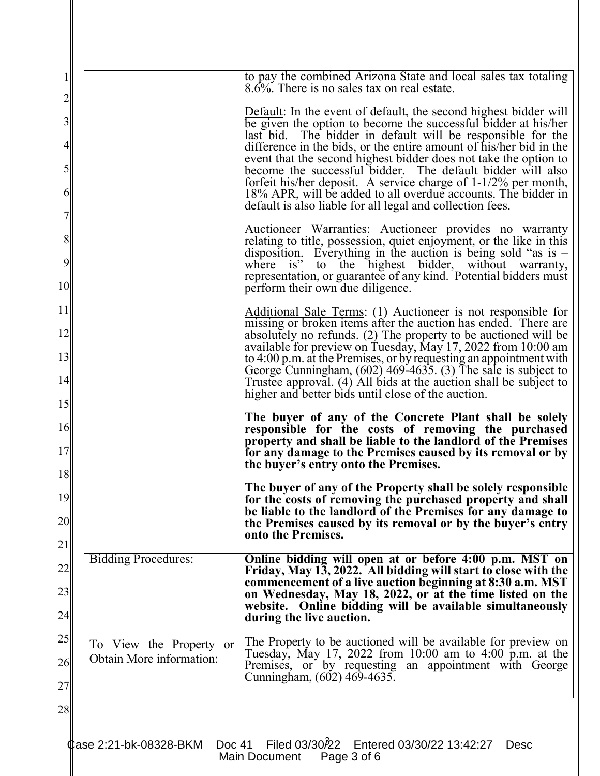| 25<br>26<br>27                            | To View the Property or<br>Obtain More information: | commencement of a live auction beginning at 8:30 a.m. MST<br>on Wednesday, May 18, 2022, or at the time listed on the<br>website. Online bidding will be available simultaneously<br>during the live auction.<br>The Property to be auctioned will be available for preview on<br>Tuesday, May 17, 2022 from $10:00$ am to $4:00$ p.m. at the<br>Premises, or by requesting an appointment with George<br>Cunningham, (602) 469-4635. |
|-------------------------------------------|-----------------------------------------------------|---------------------------------------------------------------------------------------------------------------------------------------------------------------------------------------------------------------------------------------------------------------------------------------------------------------------------------------------------------------------------------------------------------------------------------------|
| 22<br>23<br>24                            |                                                     |                                                                                                                                                                                                                                                                                                                                                                                                                                       |
|                                           |                                                     |                                                                                                                                                                                                                                                                                                                                                                                                                                       |
|                                           | <b>Bidding Procedures:</b>                          | Online bidding will open at or before 4:00 p.m. MST on<br>Friday, May 13, 2022. All bidding will start to close with the                                                                                                                                                                                                                                                                                                              |
| 20<br>21                                  |                                                     | the Premises caused by its removal or by the buyer's entry<br>onto the Premises.                                                                                                                                                                                                                                                                                                                                                      |
| 19                                        |                                                     | The buyer of any of the Property shall be solely responsible<br>for the costs of removing the purchased property and shall<br>be liable to the landlord of the Premises for any damage to                                                                                                                                                                                                                                             |
| 17<br>18                                  |                                                     | for any damage to the Premises caused by its removal or by<br>the buyer's entry onto the Premises.                                                                                                                                                                                                                                                                                                                                    |
| 16                                        |                                                     | The buyer of any of the Concrete Plant shall be solely<br>responsible for the costs of removing the purchased<br>property and shall be liable to the landlord of the Premises                                                                                                                                                                                                                                                         |
| 15                                        |                                                     | Trustee approval. (4) All bids at the auction shall be subject to<br>higher and better bids until close of the auction.                                                                                                                                                                                                                                                                                                               |
| 13<br>14                                  |                                                     | to 4:00 p.m. at the Premises, or by requesting an appointment with<br>George Cunningham, $(602)$ 469-4635. (3) The sale is subject to                                                                                                                                                                                                                                                                                                 |
| 12                                        |                                                     | missing or broken items after the auction has ended. There are<br>absolutely no refunds. (2) The property to be auctioned will be<br>available for preview on Tuesday, May 17, 2022 from 10:00 am                                                                                                                                                                                                                                     |
| 11                                        |                                                     | Additional Sale Terms: (1) Auctioneer is not responsible for                                                                                                                                                                                                                                                                                                                                                                          |
| 9<br>10                                   |                                                     | where is" to the highest bidder, without warranty,<br>representation, or guarantee of any kind. Potential bidders must<br>perform their own due diligence.                                                                                                                                                                                                                                                                            |
| $8\,$                                     |                                                     | <b>Auctioneer Warranties:</b> Auctioneer provides no warranty<br>relating to title, possession, quiet enjoyment, or the like in this<br>disposition. Everything in the auction is being sold "as is $-$                                                                                                                                                                                                                               |
| $\overline{7}$                            |                                                     | default is also liable for all legal and collection fees.                                                                                                                                                                                                                                                                                                                                                                             |
| $\mathfrak{S}$<br>6                       |                                                     | become the successful bidder. The default bidder will also<br>forfeit his/her deposit. A service charge of $1-1/2%$ per month,<br>18% APR, will be added to all overdue accounts. The bidder in                                                                                                                                                                                                                                       |
| $\overline{\mathbf{3}}$<br>$\overline{4}$ |                                                     | be given the option to become the successful bidder at his/her<br>last bid. The bidder in default will be responsible for the<br>difference in the bids, or the entire amount of his/her bid in the<br>event that the second highest bidder does not take the option to                                                                                                                                                               |
|                                           |                                                     | 8.6%. There is no sales tax on real estate.<br><b>Default:</b> In the event of default, the second highest bidder will                                                                                                                                                                                                                                                                                                                |
| $\overline{c}$                            |                                                     | to pay the combined Arizona State and local sales tax totaling                                                                                                                                                                                                                                                                                                                                                                        |

 $\parallel$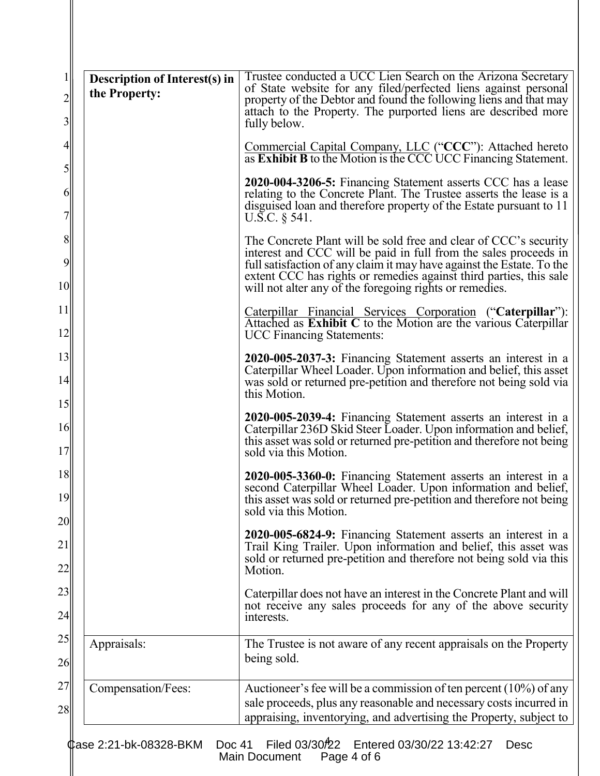| $1\vert$<br>$\overline{2}$<br>$\overline{3}$ | <b>Description of Interest(s) in</b><br>the Property: | Trustee conducted a UCC Lien Search on the Arizona Secretary<br>of State website for any filed/perfected liens against personal<br>property of the Debtor and found the following liens and that may<br>attach to the Property. The purported liens are described more<br>fully below. |
|----------------------------------------------|-------------------------------------------------------|----------------------------------------------------------------------------------------------------------------------------------------------------------------------------------------------------------------------------------------------------------------------------------------|
| $\left 4\right $                             |                                                       | Commercial Capital Company, LLC ("CCC"): Attached hereto as Exhibit B to the Motion is the CCC UCC Financing Statement.                                                                                                                                                                |
| $\mathfrak{h}$<br>6<br>$\overline{7}$        |                                                       | 2020-004-3206-5: Financing Statement asserts CCC has a lease<br>relating to the Concrete Plant. The Trustee asserts the lease is a<br>disguised loan and therefore property of the Estate pursuant to 11<br>U.S.C. $\S$ 541.                                                           |
| 8 <sup>1</sup><br>9                          |                                                       | The Concrete Plant will be sold free and clear of CCC's security<br>interest and CCC will be paid in full from the sales proceeds in<br>full satisfaction of any claim it may have against the Estate. To the<br>extent CCC has rights or remedies against third parties, this sale    |
| 10<br>11<br>12                               |                                                       | will not alter any of the foregoing rights or remedies.<br>Caterpillar Financial Services Corporation ("Caterpillar"):<br>Attached as Exhibit C to the Motion are the various Caterpillar<br><b>UCC Financing Statements:</b>                                                          |
| 13<br>14                                     |                                                       | 2020-005-2037-3: Financing Statement asserts an interest in a<br>Caterpillar Wheel Loader. Upon information and belief, this asset<br>was sold or returned pre-petition and therefore not being sold via<br>this Motion.                                                               |
| 15<br>16<br>17                               |                                                       | 2020-005-2039-4: Financing Statement asserts an interest in a<br>Caterpillar 236D Skid Steer Loader. Upon information and belief,<br>this asset was sold or returned pre-petition and therefore not being<br>sold via this Motion.                                                     |
| 18<br>19<br>20                               |                                                       | 2020-005-3360-0: Financing Statement asserts an interest in a<br>second Caterpillar Wheel Loader. Upon information and belief,<br>this asset was sold or returned pre-petition and therefore not being<br>sold via this Motion.                                                        |
| 21<br>22                                     |                                                       | 2020-005-6824-9: Financing Statement asserts an interest in a<br>Trail King Trailer. Upon information and belief, this asset was<br>sold or returned pre-petition and therefore not being sold via this<br>Motion.                                                                     |
| 23<br>24                                     |                                                       | Caterpillar does not have an interest in the Concrete Plant and will<br>not receive any sales proceeds for any of the above security<br>interests.                                                                                                                                     |
| 25<br>26                                     | Appraisals:                                           | The Trustee is not aware of any recent appraisals on the Property<br>being sold.                                                                                                                                                                                                       |
| 27<br>28                                     | Compensation/Fees:                                    | Auctioneer's fee will be a commission of ten percent $(10\%)$ of any<br>sale proceeds, plus any reasonable and necessary costs incurred in<br>appraising, inventorying, and advertising the Property, subject to                                                                       |
|                                              | <b>¢ase 2:21-bk-08328-BKM</b><br>Doc 41               | Filed 03/30 <sup>2</sup> 2<br>Entered 03/30/22 13:42:27<br><b>Desc</b><br>Main Document<br>Page 4 of 6                                                                                                                                                                                 |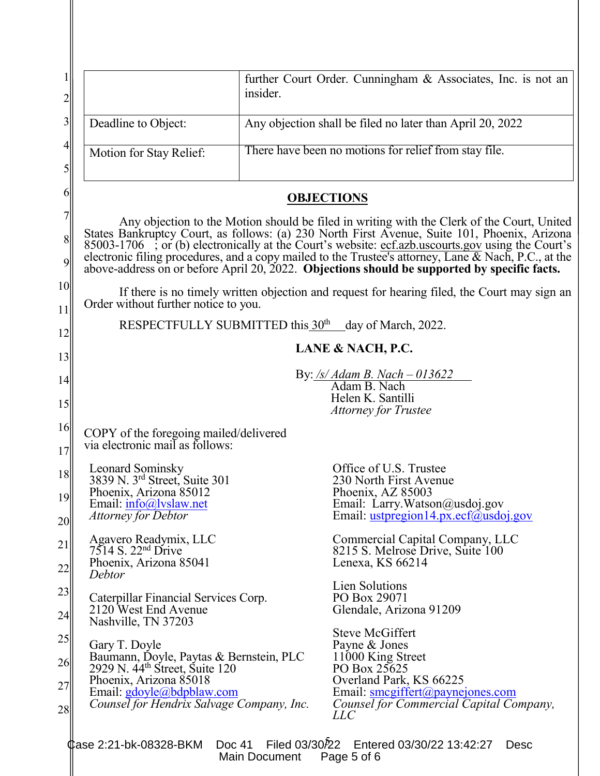| $\overline{c}$                        |                                                                                                                                                                                                                                                                                                                                                                                                                                   | further Court Order. Cunningham & Associates, Inc. is not an<br>insider.                                                                       |  |  |  |  |
|---------------------------------------|-----------------------------------------------------------------------------------------------------------------------------------------------------------------------------------------------------------------------------------------------------------------------------------------------------------------------------------------------------------------------------------------------------------------------------------|------------------------------------------------------------------------------------------------------------------------------------------------|--|--|--|--|
| $\overline{\mathbf{3}}$               | Deadline to Object:                                                                                                                                                                                                                                                                                                                                                                                                               | Any objection shall be filed no later than April 20, 2022                                                                                      |  |  |  |  |
| $\overline{4}$<br>5                   | Motion for Stay Relief:                                                                                                                                                                                                                                                                                                                                                                                                           | There have been no motions for relief from stay file.                                                                                          |  |  |  |  |
| 6                                     | <b>OBJECTIONS</b>                                                                                                                                                                                                                                                                                                                                                                                                                 |                                                                                                                                                |  |  |  |  |
| $\overline{7}$<br>8<br>$\overline{9}$ | Any objection to the Motion should be filed in writing with the Clerk of the Court, United<br>States Bankruptcy Court, as follows: (a) 230 North First Avenue, Suite 101, Phoenix, Arizona<br>85003-1706 ; or (b) electronically at the Court's website: <u>ecf.azb.uscourts.gov</u> using the Court's electronic filing procedures, and a copy mailed to the Trustee's attorney, Lane & Nach, P.C., at the above-address on or b |                                                                                                                                                |  |  |  |  |
| 10<br>11                              | If there is no timely written objection and request for hearing filed, the Court may sign an<br>Order without further notice to you.                                                                                                                                                                                                                                                                                              |                                                                                                                                                |  |  |  |  |
| 12                                    | RESPECTFULLY SUBMITTED this 30 <sup>th</sup> day of March, 2022.                                                                                                                                                                                                                                                                                                                                                                  |                                                                                                                                                |  |  |  |  |
| 13                                    | LANE & NACH, P.C.                                                                                                                                                                                                                                                                                                                                                                                                                 |                                                                                                                                                |  |  |  |  |
| 14                                    |                                                                                                                                                                                                                                                                                                                                                                                                                                   | By: /s/ Adam B. Nach - 013622<br>Adam B. Nach<br>Helen K. Santilli                                                                             |  |  |  |  |
| 15                                    |                                                                                                                                                                                                                                                                                                                                                                                                                                   | <b>Attorney for Trustee</b>                                                                                                                    |  |  |  |  |
| 16<br>17                              | COPY of the foregoing mailed/delivered<br>via electronic mail as follows:                                                                                                                                                                                                                                                                                                                                                         |                                                                                                                                                |  |  |  |  |
| 18<br>19<br>20                        | Leonard Sominsky<br>3839 N. 3rd Street, Suite 301<br>Phoenix, Arizona 85012<br>Email: info@lvslaw.net<br><i>Attorney for Debtor</i>                                                                                                                                                                                                                                                                                               | Office of U.S. Trustee<br>230 North First Avenue<br>Phoenix, AZ 85003<br>Email: Larry.Watson@usdoj.gov<br>Email: ustpregion14.px.ecf@usdoj.gov |  |  |  |  |
| 21<br>22                              | Agavero Readymix, LLC<br>7514 S. 22 <sup>nd</sup> Drive<br>Phoenix, Arizona 85041<br>Debtor                                                                                                                                                                                                                                                                                                                                       | Commercial Capital Company, LLC<br>8215 S. Melrose Drive, Suite 100<br>Lenexa, KS 66214                                                        |  |  |  |  |
| 23<br>24                              | Caterpillar Financial Services Corp.<br>2120 West End Avenue<br>Nashville, TN 37203                                                                                                                                                                                                                                                                                                                                               | Lien Solutions<br>PO Box 29071<br>Glendale, Arizona 91209                                                                                      |  |  |  |  |
| 25<br>26                              | Gary T. Doyle<br>Baumann, Doyle, Paytas & Bernstein, PLC<br>2929 N. 44 <sup>th</sup> Street, Suite 120                                                                                                                                                                                                                                                                                                                            | <b>Steve McGiffert</b><br>Payne & Jones<br>11000 King Street<br>PO Box 25625                                                                   |  |  |  |  |
| 27<br>28                              | Phoenix, Arizona 85018<br>Email: gdoyle@bdpblaw.com<br>Counsel for Hendrix Salvage Company, Inc.                                                                                                                                                                                                                                                                                                                                  | Overland Park, KS 66225<br>Email: smcgiffert@paynejones.com<br>Counsel for Commercial Capital Company,<br>LLC                                  |  |  |  |  |
|                                       | <b>Фаѕе 2:21-bk-08328-ВКМ</b>                                                                                                                                                                                                                                                                                                                                                                                                     | Filed 03/30/22<br>Entered 03/30/22 13:42:27<br>Doc 41<br><b>Desc</b><br>Page 5 of 6<br>Main Document                                           |  |  |  |  |